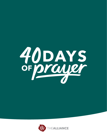

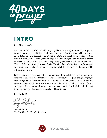

## **INTRO**

Dear Alliance family,

Welcome to 40 Days of Prayer! This prayer guide features daily devotionals and prayer prompts that are designed to lead you into the presence of God, to cry out to Him in prayer, and to listen for His still, small voice. It's not enough to hear about prayer, read about it, or even just learn about it. During these 40 days at the beginning of 2022, we need to engage in prayer—to perhaps do so with a frequency, fervency, and focus that is not normal for us. This year's theme is **Reawakening to Christ.** The aim of this 40-day focus is to fix our gaze on Jesus; remember who He is, what He has done, what He has given us to do, and what He will do in the future.

Look around at all that is happening in our nation and world. It is time to pray and to surrender to Jesus! Could it be that this 40 Days of Prayer could change us, change our prayer lives, change The Alliance, and even transform our nation and world? Let's step into this prayer experience with the anticipation that we will encounter the living God and fix our eyes upon Him. Let's pray with a spirit of expectancy that the Spirit of God will do great things in, among, and through us to the glory of Jesus Christ.

Keep the faith!

Terry D. Smith Vice President for Church Ministries

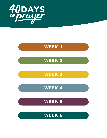

## **WEEK 1**

## WEEK 2

**WEEK 3** 

WEEK 4

WEEK 5

WEEK 6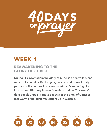

## **WEEK 1**

## **REAWAKENING TO THE GLORY OF CHRIST**

**During His Incarnation, the glory of Christ is often veiled, and we see His humility. But His glory has existed from eternity past and will continue into eternity future. Even during His Incarnation, His glory is seen from time to time. This week's devotionals unpack various aspects of the glory of Christ so that we will find ourselves caught up in worship.**

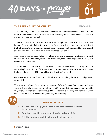

#### **THE ETERNALITY OF CHRIST MICAH 5:2**

**01**

DAY

This is the story of God's love. A story in which the Heavenly Father stepped down into the limits of time, where a sweet, little visitor from heaven approached Bethlehem, a little town surrounded by crumbling walls.

The visitor was the baby in whom the greatness and glory of the Creator became a mere human. Throughout His life, the love of the Father took this visitor through the difficult trials of humanity. He experienced much pain, loneliness, and rejection. He was despised and cast out. But He was loved. Even more than that, *He was love.*

This visitor is also the Great Judge. He walked to the end of the road with the heavy weight of our guilt on His shoulders, ready to be humiliated, abandoned, slapped in the face, and rejected on a cross for our sake.

This humiliated visitor, resurrected and exalted, later regained control of all things, and as a tender shepherd, took care of His lambs and continues to do so. The greatness of His name leads us to the security of His eternal love that is safe and peaceful.

He came from eternity to humanity and back to eternity, making the great, if at all possible, greater still.

This is Jesus, our Lord. He is a great mystery—not fully understood, but believed and treasured by those who accept such a high-priced gift—unmerited, undeserved, and available only by grace though faith. He was brought by the Father to a decaying world that was and is in need of a touch from beyond time, from beyond humanity.



#### **PRAYER POINTS:**

- **1. Ask the Lord to help you delight in the unfathomable reality of the Incarnation.**
- **2. Pray that He will lead you to be thankful and worshipful.**
- **3. Ask Him to guide you into a life worthy of such love.**

#### **»by Jose Martinez**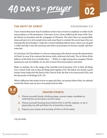

#### **THE DEITY OF CHRIST COLOSSIANS 2:9**

I have noticed that most church traditions tend to lean toward an emphasis on either God's transcendence or His immanence. Like some of you, I have walked up the steps of the Temple Mount in Jerusalem and the synagogue in Chorazin. The stairs there are purposefully steep and uneven to slow people down and cause them to consider the sacred space they are entering. But most Sundays, I walk into a church building without stairs, where you can grab a coffee and take it into the sanctuary and where most people are dressed casually and have come late.

In Colossians 2:8, Paul alludes to a heresy simmering in the church around the depreciation of Christ. In verse 9, he contrasts this heresy with a bold and vital truth, "For in Christ all the fullness of the Deity lives in bodily form . . ." While it is right and good to recognize Christ's immanence and accessibility, we are also to honor His transcendence and deity.

Make no mistake, He is the image of the invisible God (Colossians 1:15); in Him all things were created (1:16); and in Him all things hold together (1:17). We follow not merely a good teacher from Galilee but the Head of the Church (1:18), the first to be resurrected (1:20), and the Reconciler of all things (1:20–22).

What a difference this makes in how we approach Him, our posture before Him, our attitude toward His Word, and our lives of worship lived for Him.



#### **PRAYER POINTS:**

- **1. Picture yourself slowly climbing steep, uneven steps; meditate on entering the sacred space around Jesus.**
- **2. Picture yourself bowing down before Him in all His majesty—or do it physically; be still and listen for at least five minutes.**
- **3. Express your praise and worship of Him in all His deity.**

**»by Jen Ashby**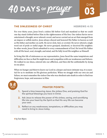# 40 DAYS OF Prayer

#### **THE SINLESSNESS OF CHRIST HEBREWS 4:15**

For over thirty years, Jesus lived a sinless life before God and mankind so that we could one day stand clothed before Him in the righteousness of His Son. Our sinless Savior never entertained a thought, never uttered a word, and never carried out an act that emerged from an impure or selfish motive. Jesus always obeyed and honored His Father in heaven as well as His father and mother on earth. He never stole, lied, or coveted. He never uttered a single word out of pride or sinful anger. He never gossiped, slandered, or deceived His neighbor. In other words, Jesus Christ submitted to every commandment of God. He loved His Father with all His heart, soul, strength, and mind, and He fully loved His neighbor as Himself.

In living this life of sinlessness as our representative, Jesus faced the same temptations and difficulties we face so that He might know and sympathize with our weaknesses and failures. He walked in our shoes, entered into our affliction, and then did the unthinkable by dying in our place.

When we hunger and thirst to know our Lord in a deeper and more intimate way, it is essential for us to meditate on His glorious perfection. When we struggle with our own sin and failure, we must remember the sinless One who was obedient unto death in order to find true forgiveness, hope, and assurance in Him.



#### **PRAYER POINTS:**

- **1. Spend a time treasuring Jesus, the sinless One, and praising God for the spiritual blessings you have in Christ.**
- **2. Ask Jesus to release the power of His sinless, saving, and sanctifying life into your heart by the Spirit so that His very life can become your own.**
- **3. Reflect on any weaknesses, temptations, or difficulties you may need to bring to Jesus today.**

**»by Tom Myers**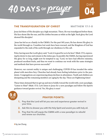

#### **THE TRANSFIGURATION OF CHRIST MATTHEW 17:1–8**

Jesus led three of His disciples up a high mountain. There, He was transfigured before them. His face shone like the sun, and His clothes became as white as the light. Such glory the Lord showed His disciples!

 Jesus has led us as a family in the C&MA. For the past 140 years, He has shown His glory to the world through us. Countless lost souls have been rescued, and the Kingdom of God has expanded to the ends of the earth through our obedience to His call.

Peter, having seen the Lord's glory said, "Lord, it is good for us to be here" (Matt. 17:1), expressing his desire to stay and remain in the status quo. In parallel, the C&MA, having experienced His glory for so long, might now be tempted to say, "Lord, we have had effective ministry, produced excellent fruits, and thus we want to continue our work with the same strategies and methods that have proven successful."

However, our current reality is unique and challenging. COVID-19 has invaded the entire planet with merciless fury. Churches had already been feeling turbulence prior to the pandemic. Congregations are experiencing sharp declines in attendance. Youth and children are dissipating and the remaining members are aging by the day. These are frightening times!

These times demand that we get up and move boldly toward the world with a new paradigm. "Listen to Him!" (Matt. 17:5). Let's listen to Jesus for a new paradigm and follow His Spirit's guidance toward greater revival. Yes, His glory is near!

#### **PRAYER POINTS:**

- **1. Pray that the Lord will let you see and experience greater revival in your time.**
- **2. Ask Him to shower you with His Holy Spirit and anoint you with holy oil.**
- **3. Pray that He will equip the C&MA with a new paradigm to rebuild and renew our churches.**

**»by Jae Chung**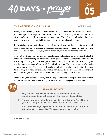# 40 DAYS OF Praye

## **THE ASCENSION OF CHRIST ACTS 1:9-11**

Have you ever caught yourself just 'standing around?' At times, standing around is purposeful. You might be waiting for the bus or train. Perhaps you're waiting for the person in front of you to place their order so that you can place yours. These few examples alone should be enough for you to recognize that this kind of standing around is not in vain.

But what about when you find yourself standing around in an emotional, mental, or spiritual state of paralysis? Life is happening all around you, and though you are physically moving, you feel . . . stuck. Again, I ask you, have you ever caught yourself 'standing around?'

Two angels ask the disciples why they are standing and looking up toward the sky. Isn't it obvious? They are staring up toward their hope. Jesus is leaving again; yet this time, no one is running or hiding for their lives. Jesus ascends to heaven, and though I would imagine the disciples experience a bit of grief, they also have hope. This is an example of actively standing and waiting. Their eyes are transfixed on their King who is leaving; but this time, He is leaving in victory, not breathing out His final breath on the cross. Their beholding will not be in vain—Jesus will one day return in the same way they saw Him ascend.

Our standing and waiting need not get in the way of our active participation of Jesus' will for this world. The disciples beheld and got to work. We are challenged to do the same.



## **PRAYER POINTS:**

- **1. Pray that the Lord will reveal to you areas that you might be standing around and not trusting in the victory of Jesus Christ.**
- **2. Are you lacking in beholding or in actively participating? Ask God to give you strength and wisdom to become an active participant.**
- **3. What would change in your life if you truly believed He will return in the same way He ascended? Ask Jesus to grow your faith.**

**»by Omar Niebles**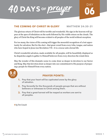

#### **THE COMING OF CHRIST IN GLORY MATTHEW 24:30–31**

The glorious return of Christ will be terrible and wonderful. His sign in the heavens will appear at the apex of tribulation on the earth followed by His visible return on the clouds. The glory of Christ the King will become evident to all peoples of the world without exception.

For too many, the vision of His coming will trigger the mournful recognition of a lost opportunity for salvation. But for the elect—that great crowd from every tribe, tongue, and nation who have hoped in Jesus (see Revelation 7:9)—it is a rescue unto eternal life.

Christ's wonderful salvation, made available for all peoples, will be beautifully displayed as he dispatches angels to gather to Himself believers from every direction the winds blow.

May the wonder of this dramatic scene-to-come draw us deeper in devotion to our Savior and King. May that devotion draw us deeper into our commitment to His purpose of preparing a people for Himself from every nation.



#### **PRAYER POINTS:**

- **1. Pray that your heart will be captivated anew by the glory of salvation.**
- **2. Pray fervently for the thousands of people groups that are without believers or witnesses to Christ among them.**
- **3. Pray that a great harvest will be reaped as workers are sent to all peoples.**

**»by Tim Crouch**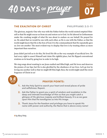# 40 DAYS OF Prayer

### **THE EXALTATION OF CHRIST PHILIPPIANS 2:5–11**

The glorious, majestic One who was with the Father before the world existed emptied Himself so that He might rescue us from sin and restore us to God. As He labored in Gethsemane under the crushing weight of what He was about to endure on our behalf, He prayed for us. He asked that we would be one with each other, as He is one with the Father, so that the world might know that He is the Son of God. It is the commandment that He repeatedly gave us: *love one another.* The most evident way to display that love is by treating others as more important than ourselves.

Jesus didn't just tell us to do this, He lived His life as the very example of sacrificial love. He had every right to assert Himself and claim His rightful place, but He flipped conventional wisdom on its head by going low in order to be high.

We sing songs about wanting to see Jesus exalted and lifted high, and He loves and deserves the praises of our lips; but He is also glorified by the obedience of our lives. Let's go low by loving one another well so that we might lift Him high; then, the world might smell the sweet fragrance of Christ in us!



#### **PRAYER POINTS:**

- **1. Ask the Holy Spirit to search your heart and reveal places of pride and selfishness. Repent.**
- **2. Ask the Father to grant you a spirit of wisdom and revelation in the deep and intimate knowledge of Him so that you might catch a glimpse of His glorious majesty and brilliant beauty. It is as we gaze upon Him that He transfigures us into His image.**
- **3. Thank Jesus for the freedom and privilege you have to speak His name with power and authority, the Name that is above every name!**

**»by Mary Petty**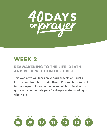

# **WEEK 2**

## **REAWAKENING TO THE LIFE, DEATH, AND RESURRECTION OF CHRIST**

**This week, we will focus on various aspects of Christ's Incarnation—from birth to death and Resurrection. We will turn our eyes to focus on the person of Jesus in all of His glory and continuously pray for deeper understanding of who He is.**

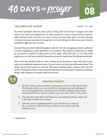

#### **THE BIRTH OF CHRIST LUKE 2:1–20**

The word "potential" finds its Latin roots in "being able" and "power." It begins with what seems to be small and insignificant. Yet, when released, it causes a chain reaction exponentially altering all that it touches. An atom is minuscule; but when split, it has the potential to release enormous amounts of energy that can be terrifying; yet, that same power has the potential to light up a city for years.

Consider the potential riddled throughout Luke 2:1–20. Life-changing potential is gifted to a young, insignificant couple betrothed to one another. The nameless shepherds are caught up in a glorious acapella worship session led by angels. When the show is over, they band together, go to a tiny town, and find themselves in awe of a small new life with great potential.

Notice how the potential of Jesus' entry extends in two directions—deep and wide. It goes wide as the shepherds experience Jesus. As good extroverts, they spread the news about "this child," and all who heard were amazed. The deep-reaching impact of Jesus' entry into the world is displayed in Mary's classic introverted response as she deeply "treasures up all these things" and continues to "ponder them in her heart."



#### **PRAYER POINTS:**

- **1. Ponder God's great potential in the person of Jesus. Recognize how His humble entry into your world has changed you and equipped you to bring light into a darkened world that so desperately needs to hear that He can forever redeem any soul who calls on His name.**
- **2. Pray that the Holy Spirit will help you see potential places where He is at work in those around you.**
- **3. Ask the Lord to highlight areas in your life that you need to be convicted of and to bring comfort to areas that need His healing touch.**

**»by Nate Sans**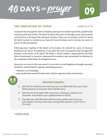



#### **THE TEMPTATION OF CHRIST LUKE 4:1–13**

As Jesus broke through the waters of baptism, the Spirit descended upon Him, prophetically remaining with and in Him. The Spirit would be His source of strength, power, discernment, and direction as He began His messianic ministry. There are two primary works for which the Spirit is given: to transform our character toward holiness and to become our source of power for life and ministry.

Following Jesus' baptism of the Spirit in the Jordan, He entered the arena of character building in the desert of temptation. It was after this trial of temptation that He began His ministry in the power of the Spirit. We follow a similar pattern—regenerated by the Holy Spirit, transformed in character, empowered for ministry, and surrendered in obedience to the commands of the Father for Kingdom service.

Jesus gives us access to the same power to overcome sin and temptation through surrender, obedience, and His Spirit's ongoing, indwelling presence.

- Holiness is our birthright.
- Jesus models the normal Christian life of Spirit-empowered life and ministry.



#### **PRAYER POINTS:**

- **1. Ask God to reinforce the truth that you are filled with the same Holy Spirit presence and power that indwelt Jesus.**
- **2. Ask that the Holy Spirit will reveal your sinfulness, redeem your character, and restore your righteousness in Christ.**
- **3. Pray that you will allow the Spirit to lead, guide, and move you into deeper intimacy with Jesus and greater passion to join Him in His work.**

**»by Monty Wright**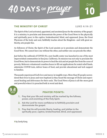# 40 DAYS OF *praye*



**10**

DAY

The Spirit of the Lord activated, appointed, and anointed Jesus for the ministry of the gospel. It is a ministry to proclaim and demonstrate the power of the Good News to the physically and spiritually poor; to the captive, brokenhearted, blind, and oppressed. Jesus, the Great Physician of the body and soul, faithfully teaches about the Kingdom—and with great authority, sets people free.

As followers of Christ, the Spirit of the Lord anoints us to proclaim and demonstrate the Good News. We cannot have one without the other, and neither one can precede the other.

Just before the outbreak of COVID-19, a new health center was launched in one of the most impoverished communities in San Jose, California. Its mission was not only to proclaim the Good News, but to demonstrate its power to heal the sick and set people free from the curse of poverty. Believers volunteered countless hours to fill out applications for rental relief funds, administer COVID tests, deliver boxes of food, and provide educational and tech support to families.

Thousands experienced God's love and mercy in tangible ways. More than 85 people surrendered their lives to Jesus and were baptized as they heard the message of Christ and experienced healing and deliverance for their souls. The Good News of Jesus is all-the-more good and powerful when it is preached both in word and deed.



#### **PRAYER POINTS:**

- **1. Pray that your life and ministry will be marked by the fullness, power, and anointing of the Holy Spirit.**
- **2. Ask the Lord for more confidence to faithfully proclaim and demonstrate the gospel.**
- **3. Pray that He will provide liberty, healing, and jubilee to the spiritually poor, captive, brokenhearted, blind, and oppressed.**

**»by Sandy Kang**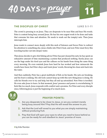

#### **THE DISCIPLES OF CHRIST LUKE 5:1–11**

**11**

DAY

The crowd is pressing in on Jesus. They are desperate to be near Him and hear His words. Peter is content being busy around Jesus. He has his own urgent work to be done and tasks that consume his time and attention. He needs to wash out the (empty) nets. Then Jesus interrupts him.

Jesus wants to connect more deeply with this mob of listeners and forces Peter to redirect his attention to something else. Jesus climbs into Peter's boat, and now Peter must ferry this traveling teacher out into deeper water.

Then Jesus decides to give *him* fishing advice! Peter has just cleaned his nets; he has spent an exhaustive amount of time maintaining a system that produced nothing. Surely Jesus can see the bags under his tired eyes and the calluses on his hands from doing the same thing every morning. He even reminds Jesus how hard he has worked and how minuscule the results have been; but Peter obeys and trusts Jesus' words, throwing his clean nets back into the water.

And then suddenly, Peter has a great multitude of fish on his hands. His nets are breaking, and his boat is sinking. His old tools cannot keep up with this new thing Jesus is doing. He calls his friends over to try and help, but they all end up astonished. Now Peter is terrified. He even asks Jesus to leave. In that moment, Jesus' presence and power is overwhelming. It feels like too much. Jesus responds with comfort and a promise. For Peter and every disciple since, following Jesus is just the beginning of so much more.

#### **PRAYER POINTS:**

- **1. Are you desperate to be closer to Jesus, or are you content merely being busy around Him? Pray that He will reveal the answer to you.**
- **2. Ask that the Lord will reveal to you what you are simply maintaining without producing fruit.**
- **3. Pray that God will open your eyes to what you need to leave behind so you can be ready for and obedient to Jesus' promise of more.**

**»by Erika Thornton**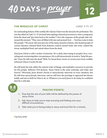# 40 DAYS OF Praye

### **THE MIRACLES OF CHRIST LUKE 7:11–17**

An outstanding feature of the earthly life of Jesus Christ was the miracles He performed. The one described in Luke 7:1–17 involved interrupting a funeral procession to raise a young man from the dead and "give him back to his mother." I love the response of the people who witnessed this miracle: "They were all filled with awe and praised God . . . 'God has come to help His people.'" Of course, this was just one of the many miracles of Jesus, who healed people of various diseases, released them from demonic control, turned water into wine, calmed the storm, multiplied food, and raised others from the dead.

And Jesus Christ is still a worker of miracles. He is daily intervening in people's lives, overruling and overturning their circumstances. He is still miraculously at work to "help His people." Does He still raise the dead? Well, I've heard three stories in recent years from credible witnesses where it seems He did.

He still heals the sick, defies the natural order of things, and multiplies resources to provide for His people. Hebrews 13:8 declares, "Jesus Christ is the same yesterday and today and forever." Obviously, Jesus doesn't choose to miraculously intervene in every situation, but He still does miraculously intervene, and we still have the privilege to approach the throne boldly and ask in faith for Him to do so. Whatever you need Jesus to do today, be confident that He is still able.



#### **PRAYER POINTS:**

- **1. Pray that the size of your faith will be defined by the power of Jesus Christ.**
- **2. Ask Jesus to help you to stop worrying and fretting over your difficult circumstances.**
- **3. Take what you're facing today to Jesus and trust Him for a miracle.**

**»by Terry Smith**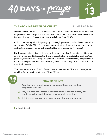

#### **THE ATONING DEATH OF CHRIST LUKE 23:32–34**

Our text today (Luke 23:32–34) reminds us that Jesus died with criminals, yet He extended forgiveness to them. Imagine it—our Jesus was executed with other death row inmates! And in that setting, we see His care for the one who believed (Luke 23:43).

In that same setting, what did Jesus pray? *"Father, forgive them, for they do not know what they are doing"* (Luke 23:34). This was not a prayer for the criminals; it was a prayer for the soldiers (law enforcers) tasked with officiating His execution for the government!

Our Jesus understood His role. He became the atoning sacrifice for our sin. He did not shy away from this task. He became the divine sacrifice (in the old English, the word was "propitiation") for human sin. The apostle John put it this way: *"He is the atoning sacrifice for our sins, and not only for ours but also for the sins of the whole world"* (1 John 2:2). His death paid the price for my sin!

This week, we remember Christ's life and His death on the cross. Oh, that we thank Jesus for providing forgiveness for sin through His shed blood.



#### **PRAYER POINTS:**

- **1. Pray that incarcerated men and women will see Jesus as their forgiver of their sins.**
- **2. Pray that men and women in law enforcement and the military will see Jesus as their sustainer and encourager in hard times.**
- **3. Ask the Lord to reveal one people group that you can pray for.**

**»by Patrick Blewett**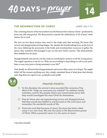

### **THE RESURRECTION OF CHRIST LUKE 24:1–11**

The crowning miracle of the Incarnation was the Resurrection of Jesus Christ—predicted by Jesus, but still unexpected. The Resurrection cements the authenticity of all of Jesus' other claims. He is Lord!

Oh, how we love these women who went to the tomb early that morning. We know that sorrow and disappointment bring fatigue. Yet, despite the heartbreaking hours at the foot of the cross, following the procession to the tomb, and investing their resources to gather the spices, they somehow still managed to get out the door before sunrise. This demonstrates their faithful love for Jesus.

Disappointment and sorrow can also send us searching for answers in all the wrong places. The angels' question is one for us: "Why are you looking to dead things to solve your problems or ease your pain or bring meaning to your life?"

And, finally, we all know that disappointment and sorrow often cause us to forget. The angels didn't tell the women anything new; they simply reminded them of what Jesus had already said. *Sing them over again to me, wonderful words of life!*



#### **PRAYER POINTS:**

- **1. To the disciples, the women's story sounded like nonsense. Pray Mark 9:24: "Help me overcome my unbelief" for children, family members, and for the people where your missionaries serve, that they would investigate the risen Christ for themselves.**
- **2. Pray for those who are experiencing sorrow and disappointment, that they would stay faithful to and focused on the Lord Jesus and remember His wonderful words of life.**
- **3. Praise the Lord that because of Jesus, the stone has been rolled away in our own lives. We now live anew in the Resurrection power of Christ.** *What a powerful name it is, the name of Jesus!*

**»by Esther Schaeffer**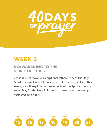

## **WEEK 3**

## **REAWAKENING TO THE SPIRIT OF CHRIST**

**Jesus did not leave us as orphans; rather, He sent His Holy Spirit to indwell and fill those who put their trust in Him. This week, we will explore various aspects of the Spirit's ministry to us. Pray for the Holy Spirit to be present and to open up your eyes and heart.**

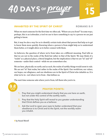

#### **INHABITED BY THE SPIRIT OF CHRIST ROMANS 8:9**

When we meet someone for the first time we often ask, "Where are you from?" In some ways, perhaps, this is an icebreaker, a tool we use to have something to say to a person we are just getting to know.

But, it may be also a way for us to identify certain traits about that person that help us to get to know them more quickly. Knowing where a person is from might help us to understand them better, or it might allow us to better connect with them.

As believers, the question of where we're from takes on a different meaning. Paul tells us that we are not in the realm of the flesh but rather in that of the Spirit. We may think of a "realm" as a physical place, a literal kingdom, but the implication is that we are "in" and "of" someone—under their control—while we are somewhere else.

We are here, physically on earth; and as such, the realm of earthly things would seem to rule. We are not "in" that realm, but rather in the realm of the Spirit. Our worldview, our values, our hopes, our allegiance, and our obedience are in the Spirit of Christ who inhabits us. It is what we're in—not where we're from—that defines us.

The next time someone asks where you're from, tell them who you're in.



#### **PRAYER POINTS:**

- **1. Pray that you might understand clearly that you are here on earth, but not under the control of the earthly realm.**
- **2. Pray that the Holy Spirit will reveal to you greater understanding that Christ defines you as a believer.**
- **3. Ask the Lord to open your eyes to better understand that your obedience is to Christ and to the Spirit, not the worldly realm you inhabit.**

**»by Hazael Morell**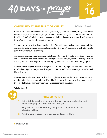

#### **CONVICTED BY THE SPIRIT OF CHRIST JOHN 16:8–11**

I love math. I love numbers and how they seemingly show up in everything. I can count my steps, cups of coffee, miles per gallon, activity time on my cell phone, and on and on. In college, I took a high-level math class and got behind, became discouraged, and just quit trying. We get behind, and we tend to give up.

The same seems to be true in our spiritual lives. We get behind in obedience, in maintaining spiritual disciplines, in our walk with Jesus, and we give up. We begin to live with a low-grade guilt that lurks around everything.

The good news is that Jesus tells us, through the apostle John, that we have a Helper—one who will "convict the world concerning sin and righteousness and judgment." The very Spirit of Christ points to our wrong (sin), our thinking (righteousness), and our decisions ( judgment).

Conviction can **expose** our sin, our righteousness, and our judgment. The Holy Spirit constantly sheds light in dark places to bring reconciliation with God when we get behind or feel like giving up.

Conviction can also **convince** us that God is pleased when we do not sin, when we think rightly, and make decisions to follow Him. The Spirit's conviction, surprisingly, can be positive—God affirming us when we give into Him rather than giving up.

What a Savior!



#### **PRAYER POINTS:**

- **1. Is the Spirit exposing an action, pattern of thinking, or decision that needs changing? Ask Him to reveal it to you.**
- **2. Pray that the Lord would bring to light areas of your life that are pleasing to Him.**
- **3. Ask the Lord to reveal ways you can better serve Him.**

**»by David Smith**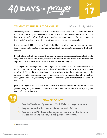

## **TAUGHT BY THE SPIRIT OF CHRIST JOHN 14:17; 16:13**

One of the greatest challenges we face in the times we live in is the battle for truth. The world is constantly pushing us to believe the lie that truth is relative and self-determined. It is not hard to see the effect of this thinking in our culture—people clamoring for others to accept their "truth" no matter how contrary or different it may be from someone else's.

Christ has revealed Himself as the Truth (John 14:6), and all who have recognized this have been forgiven and accepted as they are. In turn, the Spirit of Truth has come to dwell only in them.

By indwelling us, the Spirit constantly reveals our present condition, guides us into all truth, enlightens our hearts and minds, teaches us to know God, and helps us understand the depths of Christ and His Word—the truth, which sanctifies us (John 17:17).

The danger is that we might forget that our greatest teacher lives in us and longs for us to sit in His classroom. He has inspired the authors of the Bible and, in turn, helps us to understand, apply, live, and teach it to others. Yet, we continually face the temptation to rely only on our own understanding, searching for quick answers to our needs and questions in other books, places, or people, while forgetting that they are merely substitute teachers for a period in our life.

Jesus is calling us to a deeper life, to abide in Him. Knowing our limitations, the Father has given us everything we need to achieve it: His Word, His Church, and His Spirit, our guide and teacher in the journey.

## **PRAYER POINTS:**

- **1. Pray the Word—read Ephesians 1:17–19. Make this prayer your own.**
- **2. Pray for the world—that they may know the truth of Christ.**
- **3. Pray for yourself in the world—that you may respond in obedience to Christ's calling and the Holy Spirit's guidance in your life.**

**»by Jose Ahmed**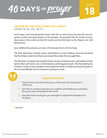



## **HELPED BY THE HOLY SPIRIT OF CHRIST**

**JOHN 14:16, 26; 16:17** 

In the upper room during the final week of His life on earth, Jesus knew that His near departure would cause great distress to His disciples. He promised that He would not leave them alone in this world, but that He would send the Holy Spirit as the Helper to be with them forever.

Jesus fulfilled His promises, not only to His disciples but to all of us today.

The Holy Spirit gives wisdom, power, and boldness to God's children. Jesus also promised that the Helper would teach them and remind them what He has taught them.

The Messiah, according to the prophet Isaiah, was given wisdom, power, and boldness by the Spirit of the Lord God to carry out His ministry and bring great results. The Holy Spirit gives wisdom to God's servants and gives God's people the ability to boldly proclaim the gospel to the lost and fulfill the Great Commission with great results.



#### **PRAYER POINTS:**

- **1. Pray that the Lord will remind you of the ways the Holy Spirit is within you.**
- **2. Ask Him to continuously give you wisdom and boldness to proclaim the good news throughout the world.**
- **3. Pray that God would give you strength to expand His Kingdom for His glory.**

**»by Ha Ho**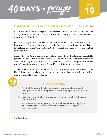

#### **POINTED TO JESUS BY THE SPIRIT OF CHRIST JOHN 15:26**

We are here to testify for Jesus (John 15:27); however, Jesus made it clear that it will not be easy (John 15:18–25). The provision for our inability to testify for Jesus is the Advocate or Counselor—the Holy Spirit.

First, the Holy Spirit is the one who can and will testify about Jesus because of who He is. Jesus said that He will send the Advocate from the Father, and He is going out from the Father to us. He is a part of the Trinity or triune God. He has full knowledge of Jesus and can best testify about Him.

Second, the Holy Spirit is the one who will testify about the work of Jesus and the role He plays in our lives and in this world. Jesus knew about our inability and weakness to testify about Him, so He promised to send us the Helper or Advocate—the Holy Spirit. He is the one who will make Jesus known to us and the world as Lord, Savior, and Messiah.

Therefore, let us be strong in our witness for Jesus because we are not alone. We have the Holy Spirit on our side who will help us in every way as we share Jesus with others. All we need is a heart of faith and obedience.



#### **PRAYER POINTS:**

- **1. Ask that the Lord will help you grow in your understanding and willingness to yield to the guidance of the Holy Spirit in your witness for Jesus.**
- **2. Pray that He will make His presence known in your church through the Holy Spirit.**
- **3. Ask that He will anoint your pastor and elders with the Holy Spirit so that they can lead your church in the testimony of Jesus to your community.**

**»by Omee Thao**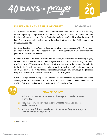

#### **ENLIVENED BY THE SPIRIT OF CHRIST ROMANS 8:11**

As Christians, we are not called to a life of superhuman effort. We are called to a life that, humanly speaking, is impossible. Listen to the words of Jesus: "Love your enemies and pray for those who persecute you" (Matt. 5:44)—humanly impossible. Hear also the words of Paul: "Forgive one another just as God in Christ has forgiven you" (Eph. 4:32)—once again, humanly impossible.

So where does this leave us? Are we destined for a life of discouragement? No. We are destined for and called to a life of dependence on the Holy Spirit who makes the impossible possible in the life of the believer.

Romans 8:11 says, "and if the Spirit of him who raised Jesus from the dead is living in you, he who raised Christ from the dead will also give life to our mortal bodies through his Spirit, who lives in you." The context of the verse is victory over sin for the believer through life in the Spirit. As we know, there is no victory over sin in the Christian's life through human effort. God provides the victory that He desires for us through Himself, through the gift of the Holy Spirit who lives in the heart of every believer in Christ Jesus.

What challenges are you facing today? Where do we turn when the issues around us or the challenges within us overwhelm us? As Christians, we are called to a life of dependence on the Holy Spirit who makes possible the impossible. Praise be to God.



#### **PRAYER POINTS:**

- **1. Ask the Lord to open your heart to the ways you need to lean on Him today.**
- **2. Pray that He will open your eyes to what He wants you to see and experience.**
- **3. Ask the Holy Spirit to reveal areas of challenge. Pray for strength to lean on Him and not yourself.**

**»by Paul Smith**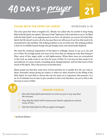

## **FILLED WITH THE SPIRIT OF CHRIST EPHESIANS 5:18**

The story goes that when evangelist D.L. Moody was asked why he needed to keep being filled with the Spirit, he replied, "Because I leak!" Ephesians 5:18 reads that we are to "be filled with the Holy Spirit" as an ongoing need in our lives. At salvation, we receive all of the Holy Spirit, but He doesn't receive all of us because there are still areas of our lives that need to be surrendered to His lordship. The leaking problem is not on God's end. The leaking problem is that we are fallible human beings who get hungry, tired, and emotionally depleted.

We need the continual impartation of His Spirit to willingly choose to say no to sin and yes to Him. He lovingly points out areas of our lives that are taking up room that belong to Him—areas of fear, anger, pride, or self-righteousness. When these areas are surrendered to the Lord, we make room in our lives for more of Him. It is not just sin that needs to be surrendered, it is areas of pain, wounding, grief, disappointment, and loss that need a fresh touch of His Spirit. This is the process of sanctification.

Many people say that they want more of God and then try to qualify how He can come to them. Surrender means giving up control; so when we open ourselves to the filling of the Holy Spirit, we trust Him to choose the way He wants us to experience His presence. It is an act of intimate love to dare to give ourselves to the Lord; therefore, our yes to Him is the doorway to more of Him.

#### **PRAYER POINTS:**

- **1. Give the Holy Spirit permission to come to you in any way that He chooses.**
- **2. Pray that the Spirit will increase your heart's capacity to receive more of Him.**
- **3. Ask the Holy Spirit to fill you again and again.**

**»by Wanda Walborn**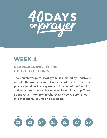

## **WEEK 4**

## **REAWAKENING TO THE CHURCH OF CHRIST**

**The Church was purchased by Christ, initiated by Christ, and is under the ownership and leadership of Christ. He is in the position to tell us the purpose and function of the Church, and we are to submit to His ownership and headship. Think about Jesus' intent for the Church and how we are to live into that intent. Pray for an open heart.** 

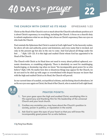

#### **THE CHURCH WITH CHRIST AS ITS HEAD EPHESIANS 1:22**

Christ as the Head of the Church is not so much about the Church's subordinate position as it is about Christ's supremacy in everything, including the Church. A focus on a church's duty to submit emphasizes what we are doing, but a focus on Christ's supremacy fixes our eyes on who leads the Church.

Paul reminds the Ephesians that Christ is seated at God's right hand "in the heavenly realms, far above all rule and authority, power and dominion, and every name that is invoked, not only in the present age but also in the one to come. And God placed all things under his feet . . . " (Eph. 1:20–22). It is this high and exalted Christ whom God has appointed to be Head of the Church.

The Church with Christ as its Head does not need to worry about political upheaval, economic downturns, or crumbling religiosity. There is absolutely no need for mudslinging, handwringing, or doomsday-ing when we know "his incomparably great power for us who believe" (Eph. 1:19). No matter how dire or disastrous things may appear for the Church, we do not need to be riled up with anger or overwhelmed with despair because we know that with the high and exalted Christ as its Head, the Church will prevail.

In our current times of scandals, sociopolitical schisms, and declining church attendance, let us fix our eyes once again on Christ, the Head of the Church, who is seated at God's right hand.



#### **PRAYER POINTS:**

- **1. Turn your gaze upon the high and exalted Christ, worshiping Him in His supremacy and thanking Him for His leadership of the universal Church and your local church.**
- **2. Confess any anxieties you may have about the Church's position in society, power in politics, or reputation in the world.**
- **3. Ask God to open the eyes of your heart so that you will know His incomparably great power for us who believe.**

**»by Pang Foua Rhodes**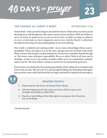

#### **THE CHURCH AS CHRIST'S BODY EPHESIANS 1:23**

Christ's Body—what a powerful image to describe the Church. Think about your body and all that happens in and through your skin, bones, muscles, brain, and heart. With our bodies, we move; we touch; we speak; we see; we eat; we rest; we hear; we smile; we weep; we embrace; we serve; we feel pain; we show compassion; and we love. And the Church is collectively described as the living, moving, breathing Body of our Lord and King.

This is both a wonderful and sobering reality—one we must acknowledge with joy and responsibility. What a privilege it is to be the arms and legs and voice of Christ in the world. What an honor that, despite our deep brokenness, He chooses to manifest Himself through us. This honor comes with great responsibility. We are to reflect Christ at all times and in all things—in how we love one another, navigate conflict, serve our communities, celebrate, lament, care for "the least of these" among us, and in how we proclaim His good news.

If we become overwhelmed by the seeming impossibility of this calling, let us remember that Christ is the one who "fills all in all." It is only through His filling, the indwelling of His Spirit, that our bones come to life, that breath fills our lungs, and that He is made known through us.



#### **PRAYER POINTS:**

- **1. Praise God for the honor of being Christ's Body.**
- **2. Ask His forgiveness for the ways you have relied on your own strength and failed to reflect Him.**
- **3. Pray for a fresh filling of the Holy Spirit to empower the Church to live as His Body.**

**»by Anya Holcomb**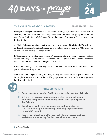

#### **THE CHURCH AS GOD'S FAMILY EPHESIANS 2:19**

Have you ever experienced what it feels like to be a foreigner, a stranger? As a new worker overseas, I did. It took a friend welcoming me into her household and giving me her family name before I felt like I truly belonged. To this day, many of my dearest friends know me as Bintou Diallo.

As Christ-followers, one of our greatest blessings is being a part of God's family. We no longer go through life seeking to belong because we've found our rightful place. Our Abba knows us by name, and we are His cherished children.

In God's family, we are all on equal footing. It's a running joke in my family—made up of four girls and one boy—that my brother is the favored one. To prove it, he has a coffee mug that says, "I love how we all know that I'm your favorite child."

Unlike my parents, God doesn't play favorites. We were all unworthy, each of us saved by grace, and we are all equal heirs.

God's household is a global family. On that great day when the multitudes gather, there will be peoples from every nation, tribe, and language worshiping the Lamb. What a glorious family reunion it will be!



#### **PRAYER POINTS:**

- **1. Spend some time thanking God for the gift of being a part of His family.**
- **2. Ask the Lord to reveal to you someone who's estranged, left out, or feeling marginalized and needing to find their rightful place in God's family.**
- **3. Search your heart. Have you looked at a brother or sister in Christ and felt they were unworthy of their equal place in God's household? Repent.**
- **4. Pray for our global family. Pray especially for persecuted brothers and sisters whose earthly families have abandoned them.**

#### **»by Becky McCabe**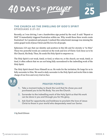

#### **THE CHURCH AS THE DWELLING OF GOD'S SPIRIT EPHESIANS 2:21–22**

Recently, as I was driving, I saw a handwritten sign posted by the road. It said: "Repent or Hell." It immediately triggered frustration within me. Why would those three words create frustration? As I pondered and prayed, I realized this reductionist message was missing the entire gospel work of Jesus Christ and His love for all people.

Ephesians 2:21 says that our identity and position in this life and for eternity is "in Him." Those two powerful words are centered on the work and love of Christ. God chose us to be His Church, His Body. Then, He sends His Holy Spirit to empower us.

The Holy Spirit is not weak, timid, or tired, so when we, or the church, are weak, timid, or tired, it often reflects that we are not being fully surrendered to the indwelling work of the Holy Spirit.

The Holy Spirit doesn't force Himself on us. He waits for the invitation; He longs for us to fully surrender to Him. We need to daily surrender to the Holy Spirit and invite Him to take charge of our lives and every trial we face.



#### **PRAYER POINTS:**

- **1. Take a moment today to thank the Lord that He chose you and purchased you to be His Body. You are the Church.**
- **2. Surrender to the indwelling work of the Holy Spirit so that His work can be done in you and through you for His glory.**
- **3. Ask God for opportunity and boldness to proclaim the love of Jesus Christ to those in your world who desperately need our Savior.**

**»by David Gilmore**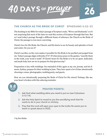

#### **THE CHURCH AS THE BRIDE OF CHRIST EPHESIANS 5:22–33**

The heading in my Bible for today's passage of Scripture reads, "Wives and Husbands," so it's not surprising that most of the time we read this section of Scripture through that lens. But as I read today's passage through a different frame of reference, the Church as the Bride of Christ, the passage is even more convicting.

Christ's love for His Bride, the Church, and His desire to see its beauty and splendor is front and center. Do you see it?

Christ's sacrifice on the cross makes it possible for His Bride to be purified and purged from sin. Today's passage aligns with John 17:17–19 when Jesus prays in the garden, "sanctify them in the truth, your word is truth." If Christ's heart for His Bride is to be set apart, dedicated, and made holy, how are we to prepare for that glorious day?

Preparation is key with weddings. I'm reminded of this again as my son, Jeremy, and his fiancée, Sydney, prepare for their wedding in June. They have spent a lot of time intentionally choosing a venue, photographer, wedding party, and guests.

How are you intentionally preparing the Bride of Christ for His return? Perhaps, like me, your heart is broken with this sobering reminder.



#### **PRAYER POINTS:**

- **1. Ask God what wedding attire you need to put on (see Colossians 3:12–14).**
- **2. Ask the Holy Spirit to reveal to you the sanctifying work that He wants to do in your church or ministry.**
- **3. Pray that the Lord will open your eyes to the truths He wants you to teach or speak about in 2022.**

**»by Ken Baldes**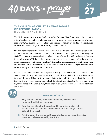# 40 DAYS OF Prayer



#### **THE CHURCH AS CHRIST'S AMBASSADORS OF RECONCILIATION 2 CORINTHIANS 5:19–20**

The dictionary defines the word "ambassador" as: "An accredited diplomat sent by a country as its official representative to a foreign country . . . a person who acts as a promoter of a specified activity." As ambassadors for Christ and citizens of heaven, we are His representatives on earth and have been given "the ministry of reconciliation."

In a world that tries to define the role of the Church in worldly, unbiblical ways, let us not forget that our calling as Christ's ambassadors is to proclaim without apology that: the Kingdom of God has come; the way of salvation and reconciled relationship with the Father is through the atoning work of Christ on the cross; anyone who calls on the name of the Lord will be saved; a reconciled relationship with the Father makes way for reconciled relationship with one another; and "all this is from God, who reconciled us to himself though Christ and gave us the ministry of reconciliation" (2 Cor. 5:18).

We are Christ's ambassadors. We carry the ministry of reconciliation! The Church is the answer to racial unity and racial harmony in a world that is filled with racism, discrimination, and division. This ministry of reconciliation starts with the gospel, is at the heart of the gospel, and reaches beyond the walls of the Church as we take the gospel to the world. So, in the words of the apostle Paul, I "implore you on Christ's behalf: Be reconciled to God" (2 Cor. 5:20).



## **PRAYER POINTS:**

- **1. Pray that the Church, as citizens of heaven, will be Christ's ambassadors first and foremost.**
- **2. Pray that the Church will preach and live out the ministry of reconciliation—to God and to those who bear His image—for the sake of the gospel.**
- **3. Ask the Lord where you might have blind spots as His ambassador that need to be corrected by His Spirit.**

**»by Kelvin Walker**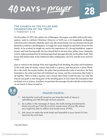



#### **THE CHURCH AS THE PILLAR AND FOUNDATION OF THE TRUTH 1 TIMOTHY 3:15**

On December 23, 1972, the capital city of Managua, Nicaragua, was filled with joyful anticipation, ready to celebrate Christmas. However, at 12:29 a.m., a 6.3 magnitude earthquake with destructive intensity sifted the entire city. My mom's family was one of many who found themselves without a dwelling place. Lovingly, her uncle stepped in and built a house for the family. As he worked, he taught my uncles the importance of a strong foundation, support beams, and load-bearing walls. He also shared that in ancient cities, pillars were commonly used to make proclamations by pinning important messages directly on the pillar itself. That house still stands today. It has withstood other earthquakes, civil war, and the wear and tear of life.

Jesus is central in the analogy Paul used regarding God's dwelling, the pillar and foundation of the truth. John 14 clearly conveys that truth is a person, and that person is Jesus Christ. He is the truth, the master builder, the pillar that proclaims the truth of salvation, the firm foundation, the solid rock that will withstand any storm, and the cornerstone that holds it all together. There is both a mystery and a beauty that Christ would become one with His Church and graft us into being part of the dwelling place of God where the foundation that we firmly rest on is Jesus. As pillars, we proclaim the message of truth with His words written on our hearts to those around us.

#### **PRAYER POINTS:**

- **1. Ask that the Lord will reveal to you how the truth of Jesus is upholding your life through various seasons.**
- **2. As a pillar, is the message of Jesus, the truth, being proclaimed to those around you? Ask the Lord to reveal areas of your life where you might be able to reflect and exude more of Him.**
- **3. Ask Jesus to make the truth fresh and beautiful in your heart if it has become dry and stale.**

**»by Julia Orozco**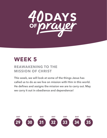

# **WEEK 5**

## **REAWAKENING TO THE MISSION OF CHRIST**

**This week, we will look at some of the things Jesus has called us to do as we live on mission with Him in this world. He defines and assigns the mission we are to carry out. May we carry it out in obedience and dependence!**

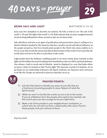

#### **BEING SALT AND LIGHT MATTHEW 5:13–16**

Jesus uses two metaphors to describe our mission. He tells us that we are "the salt of the earth" (v. 13) and "the light of the world" (v. 14). Both indicate that our Jesus-assigned mission involves being influential to those around us who do not know Him.

Salt adds flavor and acts as an agent of purification and preservation. Jesus is calling us to a distinct lifestyle marked by His character that has a positive moral and ethical influence on the people around us. Our lives should point people to the Christ who alone enables us to live in a way that avoids the moral and ethical deterioration of the world. If we're just like the world, then we'll never be able to reach those in the world.

Light pushes back the darkness, enabling people to see more clearly. Jesus reminds us that light can't be hidden but must be displayed to benefit those who are still in spiritual darkness. Our witness—both in words and in lifestyle—must be displayed in a way that helps others see Jesus. 1 John 1:5 reminds us that "God is light." His character is perfect in holiness. As we go deeper in our relationship with Jesus, His Spirit conforms our character more and more to be like His. People are attracted to Jesus by what they see in us.



#### **PRAYER POINTS:**

- **1. Ask the Holy Spirit to identify any areas of your life that are a hindrance to pointing people to Jesus. Repent of what the Spirit reveals.**
- **2. While we aren't to be like the world, we are to be in the world. If you've withdrawn from the people who need to be reached, ask the Lord to give you the courage to let your light shine.**
- **3. Make a list of the people in your neighborhood, workplace, or school who do not seem to have a relationship with Jesus. Pray for these people and your witness to them.**

**»by Terry Smith**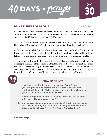



#### **BEING FISHERS OF PEOPLE LUKE 5:1–11**

We read that the Lord Jesus calls simple and ordinary people to follow Him. As the King of the universe, He is neither in "need" of workmen nor is He a taskmaster. He can make a donkey do His bidding, as occurred in the Old Testament.

The "call" of God, from creation and since sin entered humanity, has been for us to belong to Him, to know Him, and to be *with* Him. All else comes out of this primary "calling."

As Peter and his friends followed the Master, Jesus taught them the Word of God and of His Kingdom. They also "caught" what it meant to be in a loving, trusting relationship with the Father, observing Jesus' life and labor of love as they lived in close communion with Him.

This invitation by the Lord, when accepted wholly, gradually transformed His followers to become just like Him—others-oriented, rather than living self-focused—for the honor of the Father. God is always about gathering His people. The call has always been about God *with* us and *through* us for the hurting world. The Holy Spirit continues to transform and sanctify us into the likeness of Jesus even as He works *through* us, calling others to Himself.



#### **PRAYER POINTS:**

- **1. How is your relationship with your Heavenly Father? How is your hunger and thirst for Him and His Word? Is He your daily satisfaction? If not, why? What practices need to shift or change for you to be in intimate communion with Him?**
- **2. Where does your life need to be aligned so that you can co-labor with the Lord to be a fisher of men?**
- **3. Do you have friends who are non-Christians? If not, how can you be proactive in entering into trustworthy, meaningful friendships with those who do not know the heart of God in Christ for them?**

**»by Annie George**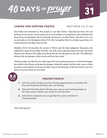

#### **CARING FOR HURTING PEOPLE MATTHEW 25:31–46**

Our Father has entrusted us, His people, to care like Christ—especially for those who are hurting. At its essence, such caring is an act of worship to a loving Savior who embodies the heart of our loving Father. We too embody His heart to care like Christ—He who is love is in us and seeks to love through us (John 17:21–26). Caring like Christ is not just a good idea, it is a heart directive for those who are His.

Matthew 25:31–46 describes the return of Christ and the final judgment. King Jesus, the enthroned Lamb of God (John 1:29; Rev. 5:6, 6:16, 12:11), separates those who bear His heart likeness, the sheep on His right, from those who do not, the goats on the left. The difference between the two groups is their hearts and how they cared.

Christ's people care like He cares. Moving in His incarnational presence, we feed the hungry, give drink to the thirsty, welcome the stranger, clothe the naked, visit the sick, come to those in prison, and minister in all sorts of other ways to the hurting. As He has loved us, we love them; as we love them, we love Him.



#### **PRAYER POINTS:**

- **1. Ask the Lord to forgive you for missing opportunities to minister His love and kindness to those who are hurting.**
- **2. Pray that the Holy Spirit will give you eyes to see hurting people as He does and to refresh your heart to care like Him.**
- **3. Ask God to empower you to glorify Him and to minister to hurting people.**

**»by Cathy Sigmund**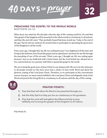

#### **PREACHING THE GOSPEL TO THE WHOLE WORLD**

**MATTHEW 24:14** 

When Jesus was asked by His disciples what the sign of His coming would be, He said that "this gospel of the kingdom will be preached in the whole world as a testimony to all nations, and then the end will come." They probably hoped that Jesus would say, "today is the end of the age," but He did not. Instead, He invited them to participate in spreading the good news of His Kingdom to all the world.

Forty years ago, I thought that my life was ending because I was frightened all the time and living in the darkness, but I heard the gospel and accepted Jesus' salvation for my life through the preaching of one of His servants. Thirty years ago, I thought my life was ending again because I was on my death bed with a brain tumor, but the Lord healed me, allowed me to live, and invited me on a journey with Him to spread the gospel to the world.

We are to bring the good news of Jesus Christ to our dying world. We are to be His witnesses to all people around us who have never had a chance to hear God's Word and about the glorious coming of the Lord Jesus Christ. Therefore, as we participate in this concentrated season of prayer, we must remain faithful to the Lord Jesus Christ and diligently study God's Word and preach His living Word as a testimony to all nations until the day of His coming.



#### **PRAYER POINTS:**

- **1. Pray that God will allow His Word to be preached through you.**
- **2. Ask the Holy Spirit to help you live as a testimony to His goodness.**
- **3. Pray that the Lord will strengthen the Alliance family to pray faithfully and to bring the gospel of the Kingdom to all nations.**

**»by Hendy Siu**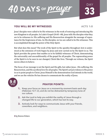

#### **YOU WILL BE MY WITNESSES ACTS** 1:8

Jesus' disciples were called to be His witnesses in the work of restoring and introducing His new Kingdom to all peoples. In Luke's Gospel (24:45–48), Jesus tells His disciples what they are to be witnesses to: His suffering and His Resurrection alongside the message of repentance for the forgiveness of sins. As His disciples, we too are called to be His witnesses. This is accomplished through the power of the Holy Spirit.

But what does this mean? The work of the Spirit in the apostles throughout Acts is understood as the extension of work begun by Jesus and now carried on by His Spirit in us. The Spirit provides the power that enables us to be faithful witnesses of Christ, demonstrating the universality and unconditionality of the gospel for all peoples. The regenerating power of the Spirit is to be seen in our changed, Christ-like lives. Through our witness, the Spirit moves others to believe.

The focus of our message is not the Spirit and His gifts, but rather Jesus—His suffering, His Resurrection, and His sacrificial love for all peoples. The Spirit's actual evidence is His power in us to point people to Christ. Jesus Himself is the demonstration God intends in the world, and we are the vehicles He has chosen to communicate the reality of Jesus.



#### **PRAYER POINTS:**

- **1. Keep your focus on Jesus on a moment-by-moment basis each day (Hebrews 12:1–2), and do not be distracted by temporary lures of our culture.**
- **2. Ask the Lord to help you exhibit the reality of Jesus through a changed life to our generation, which has lost its way.**
- **3. Actively look for ways to communicate Jesus with your friends, coworkers, and neighbors.**

**»by Brenna Vickers**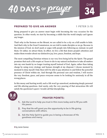



#### **PREPARED TO GIVE AN ANSWER 1 PETER 3:15**

Being prepared to give an answer must begin with becoming the very occasion for the question. In other words, we start by becoming a riddle that the world simply can't ignore any longer.

That's why in the Sermon on the Mount, we are called to be a city on a hill unable to hide. And that's why in the Great Commission, we are told to make disciples as we go. Because in the mission of God, we don't push or argue with people into following us; instead, we pull them. Or rather, we attract them. In effect, we live a life that draws people's attention and makes them wonder about our distinctive joy, love, peace, freedom, and hope.

The most compelling Christian witness is our very lives being led by the Spirit. The gospel promises that such a life erupts as I learn to die to my natural inclination to take all matters into my own hands by no longer trusting myself instead of God. Again, rather than taking charge by using every strategy and human strength at my disposal, I choose moment by moment to deny myself. Only then will I be able to pay attention to and follow the powerful presence of Christ within me. And through His personal care and wisdom, I will receive the very freedom, grace, and peace everyone seems to be looking for anxiously in all the wrong places.

In this messy and hurting world, such a life won't go unnoticed, awakening deeply personal and life-altering questions. And surely, only the very pouring of that miraculous life will satisfy the questioner's quest. I would call that discipleship.

#### **PRAYER POINTS:**

- **1. Ask the Lord to help you trust in Him more today and to fill you with His peace.**
- **2. Pray that He will grant you the opportunity to be in life-giving conversations with others.**
- **3. Ask the Holy Spirit to guide you in being a showcase of His goodness and mercy.**

**»by Javier Gomez**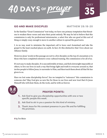

#### **GO AND MAKE DISCIPLES MATTHEW 28:18–20**

In the familiar "Great Commission" text today, we have one primary temptation that threatens to weaken these verses and miss their point entirely. We may be led to believe that this commission is only for professional missionaries, a select few who are good at this sort of thing or simply crazy enough to move to another culture to spread the good news.

I, in no way, want to minimize the important call to leave one's homeland and take the gospel to the least-reached places on earth. In fact, it's this distinctive that I love about our Alliance family.

However, Jesus' words in this passage are not to a few disciples on the top of a mountain or to those who have completed extensive cross-cultural training. His commission is for all of us.

It's not easy to make disciples. It is uncomfortable at times, and feels downright impossible at others, to live our lives in such a way that brings light and truth to everyone around us, that invites people to follow Jesus, to surrender to Him, and then teach them about all that He has given to us.

Have we lost some discipleship fervor? Are we tempted to "outsource" this commission to someone else? May God give us new fire for those in our lives and new trust that it's Jesus Himself who will draw them, do the work, and be with us forever.



#### **PRAYER POINTS:**

- **1. Ask God to give you discipleship opportunities with one or two specific people this week.**
- **2. Ask God to stir in you a passion for this kind of ministry.**
- **3. Thank Jesus for His constant presence in your life and for fulfilling His promises.**

**»by Tim Meier**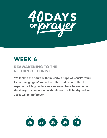

# **WEEK 6**

## **REAWAKENING TO THE RETURN OF CHRIST**

**We look to the future with the certain hope of Christ's return. He's coming again! We will see Him and be with Him to experience His glory in a way we never have before. All of the things that are wrong with this world will be righted and Jesus will reign forever!**

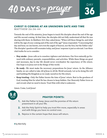

#### **CHRIST IS COMING AT AN UNKNOWN DATE AND TIME**

**MATTHEW 26:36–44** 

Towards the end of His ministry, Jesus began to teach His disciples about the end of the age and His second coming. At that time, the disciples did not fully understand all that He was sharing with them. In Matthew 24:3, they asked Jesus, "When will these things be, and what will be the sign of your coming and of the end of the age?" Jesus responded, "Concerning that day and hour, no one knows, not even the angels of heaven, nor the Son, but the Father only." The disciples' question still resonates today, and Jesus' response is just as relevant. I see three vital truths for us to consider:

- **Stay awake**—Jesus calls us to ceaseless vigilance and alertness. Our lives naturally go forward with ordinary pursuits, responsibilities, and activities. While these things are good and necessary, day-to-day life should never overshadow the expectancy of His return. Our hope is in Jesus not in the things of this world.
- **Be ready**—We must make the necessary preparations for Jesus' return. As the Alliance family, we are called to take *All of Jesus to All the World* seriously. Let us be doing His will and building His Kingdom as we ready ourselves for His return.
- **Keep trusting**—Only the Father knows the time of Jesus' return. Rest in the goodness of God, trusting Him for what He has chosen to keep hidden. Our Heavenly Father loves us and reveals what we need to know. Trust Him with what is unknown.

Amen. Come, Lord Jesus!



#### **PRAYER POINTS:**

- **1. Ask the Father to keep Jesus and the promise of His return preeminent in all your life.**
- **2. Ask the Holy Spirit to help you trust Him more, especially in areas and with things you have no control over.**
- **3. Rejoice in the certain hope that Jesus will return.**

**»by Matt Kelly**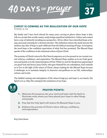

#### **CHRIST IS COMING AS THE REALIZATION OF OUR HOPE TITUS 2:13**

My family and I have lived abroad for many years, serving in places where hope is dim. Life in a secular first-world country easily brings superficial satisfaction. Culture and context have a way of indirectly invading our perspective. All too often I have described hope as being a personal yearning for a desired outcome. This definition misses the mark because the modern-day idea of hope is quite different from the biblical meaning of hope. In Scripture, the word hope is the confident expectation of what God has promised. The Blessed Hope speaks of the confidence in the imminent return of Jesus Christ.

The promise of Christ's return for His Church empowers us to be present in our current context with joy, confidence, and expectation. The Blessed Hope enables us to see God's goodness and points us to the unmerited grace of God. While we wait for the glorious appearing of our great God and Savior, Jesus Christ, who gave Himself for our redemption, Paul reminds us to live in the light of the return of Christ, always looking for the Blessed Hope because it challenges us to maintain integrity in character and godliness in our life, relationships, actions, and words.

The faithful waiting and anticipation of His return brings joy and hope to our hearts. His Spirit is in us. May His coming be the realization of our hope.



#### **PRAYER POINTS:**

- **1. Welcome His presence into your mind and heart. Ask His Spirit to illuminate areas where you have placed your hope in other things and people.**
- **2. Pray that the Holy Spirit will restore His Blessed Hope in you.**
- **3. Embrace the promise of Christ's return with joy, confidence, and expectation.**

**»by Celine Bower**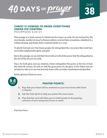



## **CHRIST IS COMING TO BRING EVERYTHING UNDER HIS CONTROL**

**PHILIPPIANS 3:20–21** 

This passage is in stark contrast to Christ's last few hours on earth. He was betrayed by His own disciple, meekly led away by Roman soldiers, received false accusations, submitted to a ruthless beating, and finally, died a criminal's death on a cross.

To glorify God and save His chosen people, He relinquished the very power that could have saved Him unfathomable agony and grief.

But in this passage, we are told that Christ will act with all the power that He relinquished at the end of His 33 years on earth.

Once, for God's glory and our salvation, Christ relinquished His power as the Son of God. But when He returns, He will act with His great power for the glory of His Father and our salvation to take us to our true heavenly home with our bodies transformed and glorified.

What a glorious Christ we serve!



#### **PRAYER POINTS:**

- **1. Pray that your heart will be centered on your true home with Christ in heaven.**
- **2. Ask the Holy Spirit to help you praise Him even more.**
- **3. Pray that the Lord will allow you to hold loosely to the passing concerns of your temporary home on earth.**

**»by Gary Friesen**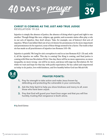

#### **CHRIST IS COMING AS THE JUST AND TRUE JUDGE**

**REVELATION 19:2A** 

Injustice is simply the absence of justice, the absence of doing what is good and right to one another. Though things like race, religion, age, gender, and economic status often play a role in our acts of injustice, they don't always. Take, for example, one of history's first acts of injustice. When Cain killed Abel out of an evil desire for prominence (to be more important) and preeminence (to be superior), none of these things seemed to be a factor. The truth is that sin has made us all practitioners of injustice (see Romans 3:10–18).

Injustice is painful. We long for sin's corruption to end in us (see Romans 8:22–23) and, with it, all the injustice we suffer. This day is coming! Our King is coming, and final justice is coming with Him (see Revelation 19:2a). One day, there will be no more oppression, no more inequality, no more wrong—sin will be no more, and Jesus will reign (see Revelation 21). Yet while we wait and hope for that day with joyful expectation, He has called and empowered us today to do justice, love with kindness, and live humbly before God (see Micah 6:8).



#### **PRAYER POINTS:**

- **1. Pray for strength to take action and make Jesus known by defending and protecting the vulnerable in your community.**
- **2. Ask the Holy Spirit to help you show kindness and mercy to all, even those who have been unjust.**
- **3. Pray that God will guard your heart from anger and that you will live humbly, trusting that vengeance is God's alone.**

**»by David Gómez**